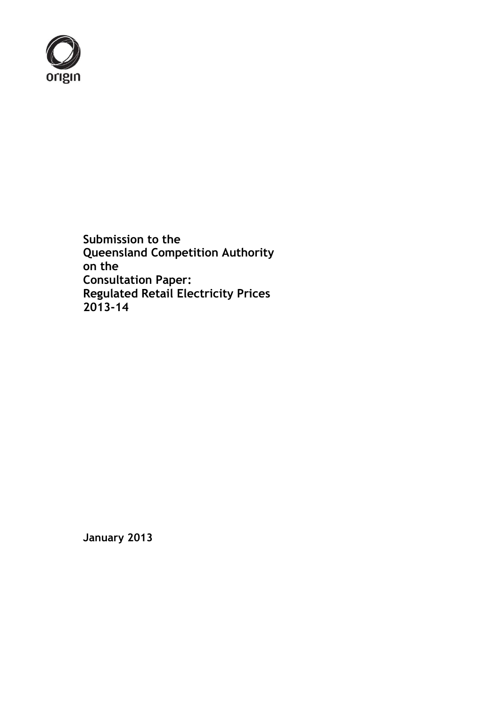

**Submission to the Queensland Competition Authority on the Consultation Paper: Regulated Retail Electricity Prices 2013-14**

**January 2013**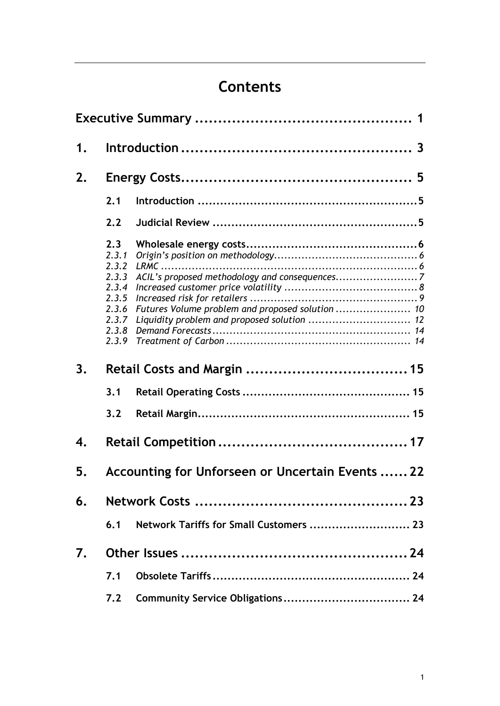# **Contents**

| 1. |                                                                                      |                                         |  |  |  |
|----|--------------------------------------------------------------------------------------|-----------------------------------------|--|--|--|
| 2. |                                                                                      |                                         |  |  |  |
|    | 2.1                                                                                  |                                         |  |  |  |
|    | 2.2                                                                                  |                                         |  |  |  |
|    | 2.3<br>2.3.1<br>2.3.2<br>2.3.3<br>2.3.4<br>2.3.5<br>2.3.6<br>2.3.7<br>2.3.8<br>2.3.9 |                                         |  |  |  |
| 3. |                                                                                      |                                         |  |  |  |
|    | 3.1                                                                                  |                                         |  |  |  |
|    | 3.2                                                                                  |                                         |  |  |  |
| 4. |                                                                                      |                                         |  |  |  |
| 5. | Accounting for Unforseen or Uncertain Events  22                                     |                                         |  |  |  |
| 6. |                                                                                      |                                         |  |  |  |
|    | 6.1                                                                                  | Network Tariffs for Small Customers  23 |  |  |  |
| 7. |                                                                                      |                                         |  |  |  |
|    | 7.1                                                                                  |                                         |  |  |  |
|    | 7.2                                                                                  |                                         |  |  |  |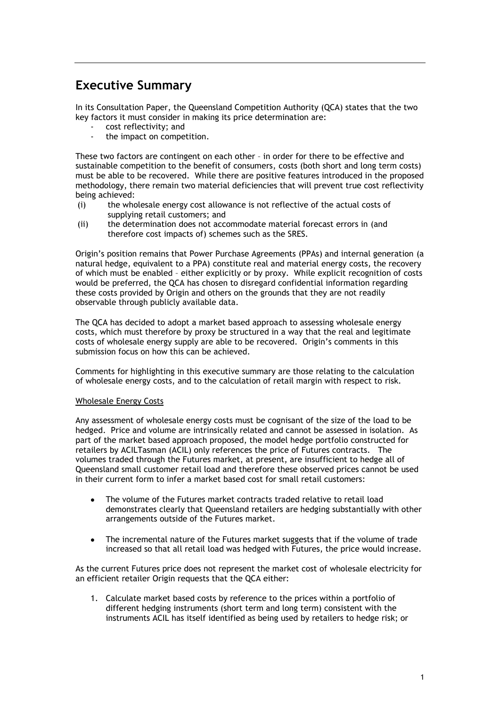## **Executive Summary**

In its Consultation Paper, the Queensland Competition Authority (QCA) states that the two key factors it must consider in making its price determination are:

- cost reflectivity; and
- the impact on competition.

These two factors are contingent on each other – in order for there to be effective and sustainable competition to the benefit of consumers, costs (both short and long term costs) must be able to be recovered. While there are positive features introduced in the proposed methodology, there remain two material deficiencies that will prevent true cost reflectivity being achieved:

- (i) the wholesale energy cost allowance is not reflective of the actual costs of supplying retail customers; and
- (ii) the determination does not accommodate material forecast errors in (and therefore cost impacts of) schemes such as the SRES.

Origin's position remains that Power Purchase Agreements (PPAs) and internal generation (a natural hedge, equivalent to a PPA) constitute real and material energy costs, the recovery of which must be enabled – either explicitly or by proxy. While explicit recognition of costs would be preferred, the QCA has chosen to disregard confidential information regarding these costs provided by Origin and others on the grounds that they are not readily observable through publicly available data.

The QCA has decided to adopt a market based approach to assessing wholesale energy costs, which must therefore by proxy be structured in a way that the real and legitimate costs of wholesale energy supply are able to be recovered. Origin's comments in this submission focus on how this can be achieved.

Comments for highlighting in this executive summary are those relating to the calculation of wholesale energy costs, and to the calculation of retail margin with respect to risk.

#### Wholesale Energy Costs

Any assessment of wholesale energy costs must be cognisant of the size of the load to be hedged. Price and volume are intrinsically related and cannot be assessed in isolation. As part of the market based approach proposed, the model hedge portfolio constructed for retailers by ACILTasman (ACIL) only references the price of Futures contracts. The volumes traded through the Futures market, at present, are insufficient to hedge all of Queensland small customer retail load and therefore these observed prices cannot be used in their current form to infer a market based cost for small retail customers:

- The volume of the Futures market contracts traded relative to retail load demonstrates clearly that Queensland retailers are hedging substantially with other arrangements outside of the Futures market.
- The incremental nature of the Futures market suggests that if the volume of trade increased so that all retail load was hedged with Futures, the price would increase.

As the current Futures price does not represent the market cost of wholesale electricity for an efficient retailer Origin requests that the QCA either:

1. Calculate market based costs by reference to the prices within a portfolio of different hedging instruments (short term and long term) consistent with the instruments ACIL has itself identified as being used by retailers to hedge risk; or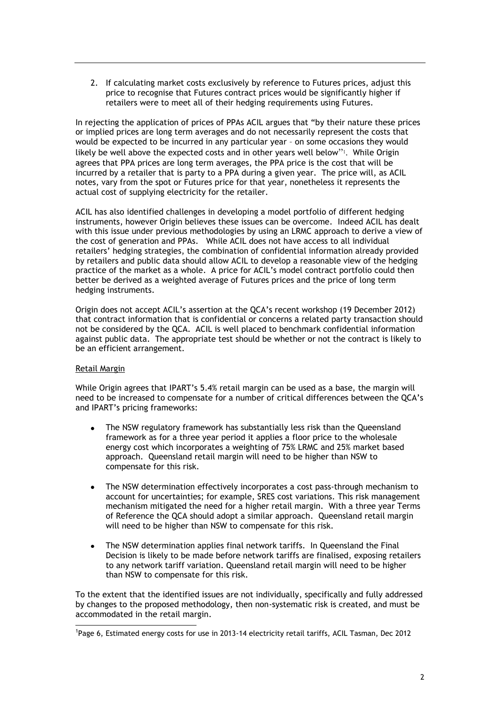2. If calculating market costs exclusively by reference to Futures prices, adjust this price to recognise that Futures contract prices would be significantly higher if retailers were to meet all of their hedging requirements using Futures.

In rejecting the application of prices of PPAs ACIL argues that "by their nature these prices or implied prices are long term averages and do not necessarily represent the costs that would be expected to be incurred in any particular year – on some occasions they would likely be well above the expected costs and in other years well below"<sup>1</sup>. While Origin agrees that PPA prices are long term averages, the PPA price is the cost that will be incurred by a retailer that is party to a PPA during a given year. The price will, as ACIL notes, vary from the spot or Futures price for that year, nonetheless it represents the actual cost of supplying electricity for the retailer.

ACIL has also identified challenges in developing a model portfolio of different hedging instruments, however Origin believes these issues can be overcome. Indeed ACIL has dealt with this issue under previous methodologies by using an LRMC approach to derive a view of the cost of generation and PPAs. While ACIL does not have access to all individual retailers' hedging strategies, the combination of confidential information already provided by retailers and public data should allow ACIL to develop a reasonable view of the hedging practice of the market as a whole. A price for ACIL's model contract portfolio could then better be derived as a weighted average of Futures prices and the price of long term hedging instruments.

Origin does not accept ACIL's assertion at the QCA's recent workshop (19 December 2012) that contract information that is confidential or concerns a related party transaction should not be considered by the QCA. ACIL is well placed to benchmark confidential information against public data. The appropriate test should be whether or not the contract is likely to be an efficient arrangement.

### Retail Margin

-

While Origin agrees that IPART's 5.4% retail margin can be used as a base, the margin will need to be increased to compensate for a number of critical differences between the QCA's and IPART's pricing frameworks:

- The NSW regulatory framework has substantially less risk than the Queensland framework as for a three year period it applies a floor price to the wholesale energy cost which incorporates a weighting of 75% LRMC and 25% market based approach. Queensland retail margin will need to be higher than NSW to compensate for this risk.
- The NSW determination effectively incorporates a cost pass-through mechanism to account for uncertainties; for example, SRES cost variations. This risk management mechanism mitigated the need for a higher retail margin. With a three year Terms of Reference the QCA should adopt a similar approach. Queensland retail margin will need to be higher than NSW to compensate for this risk.
- The NSW determination applies final network tariffs. In Queensland the Final Decision is likely to be made before network tariffs are finalised, exposing retailers to any network tariff variation. Queensland retail margin will need to be higher than NSW to compensate for this risk.

To the extent that the identified issues are not individually, specifically and fully addressed by changes to the proposed methodology, then non-systematic risk is created, and must be accommodated in the retail margin.

<sup>1</sup> Page 6, Estimated energy costs for use in 2013-14 electricity retail tariffs, ACIL Tasman, Dec 2012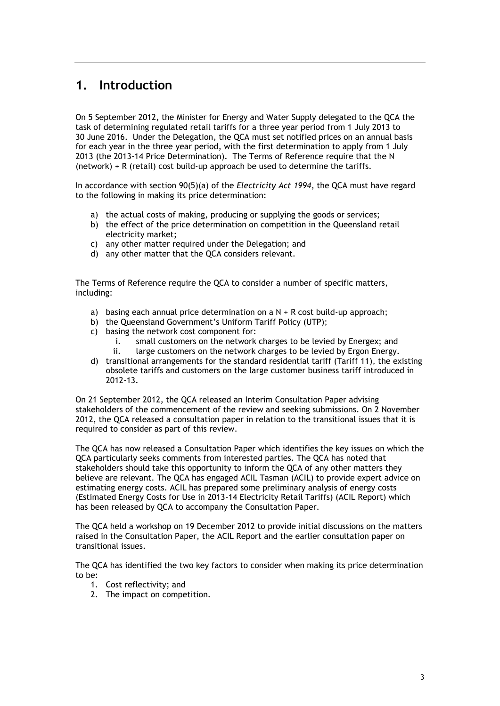## **1. Introduction**

On 5 September 2012, the Minister for Energy and Water Supply delegated to the QCA the task of determining regulated retail tariffs for a three year period from 1 July 2013 to 30 June 2016. Under the Delegation, the QCA must set notified prices on an annual basis for each year in the three year period, with the first determination to apply from 1 July 2013 (the 2013-14 Price Determination). The Terms of Reference require that the N (network) + R (retail) cost build-up approach be used to determine the tariffs.

In accordance with section 90(5)(a) of the *Electricity Act 1994*, the QCA must have regard to the following in making its price determination:

- a) the actual costs of making, producing or supplying the goods or services;
- b) the effect of the price determination on competition in the Queensland retail electricity market;
- c) any other matter required under the Delegation; and
- d) any other matter that the QCA considers relevant.

The Terms of Reference require the QCA to consider a number of specific matters, including:

- a) basing each annual price determination on a  $N + R$  cost build-up approach;
- b) the Queensland Government's Uniform Tariff Policy (UTP);
- c) basing the network cost component for:
	- i. small customers on the network charges to be levied by Energex; and ii. large customers on the network charges to be levied by Ergon Energy.
- d) transitional arrangements for the standard residential tariff (Tariff 11), the existing obsolete tariffs and customers on the large customer business tariff introduced in 2012-13.

On 21 September 2012, the QCA released an Interim Consultation Paper advising stakeholders of the commencement of the review and seeking submissions. On 2 November 2012, the QCA released a consultation paper in relation to the transitional issues that it is required to consider as part of this review.

The QCA has now released a Consultation Paper which identifies the key issues on which the QCA particularly seeks comments from interested parties. The QCA has noted that stakeholders should take this opportunity to inform the QCA of any other matters they believe are relevant. The QCA has engaged ACIL Tasman (ACIL) to provide expert advice on estimating energy costs. ACIL has prepared some preliminary analysis of energy costs (Estimated Energy Costs for Use in 2013-14 Electricity Retail Tariffs) (ACIL Report) which has been released by QCA to accompany the Consultation Paper.

The QCA held a workshop on 19 December 2012 to provide initial discussions on the matters raised in the Consultation Paper, the ACIL Report and the earlier consultation paper on transitional issues.

The QCA has identified the two key factors to consider when making its price determination to be:

- 1. Cost reflectivity; and
- 2. The impact on competition.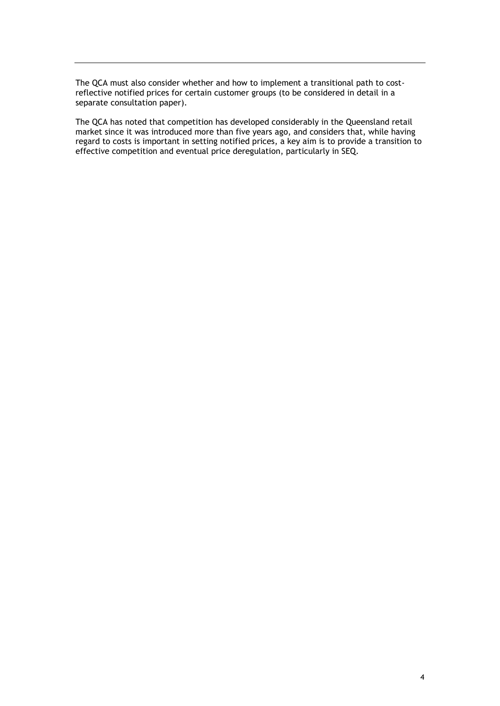The QCA must also consider whether and how to implement a transitional path to costreflective notified prices for certain customer groups (to be considered in detail in a separate consultation paper).

The QCA has noted that competition has developed considerably in the Queensland retail market since it was introduced more than five years ago, and considers that, while having regard to costs is important in setting notified prices, a key aim is to provide a transition to effective competition and eventual price deregulation, particularly in SEQ.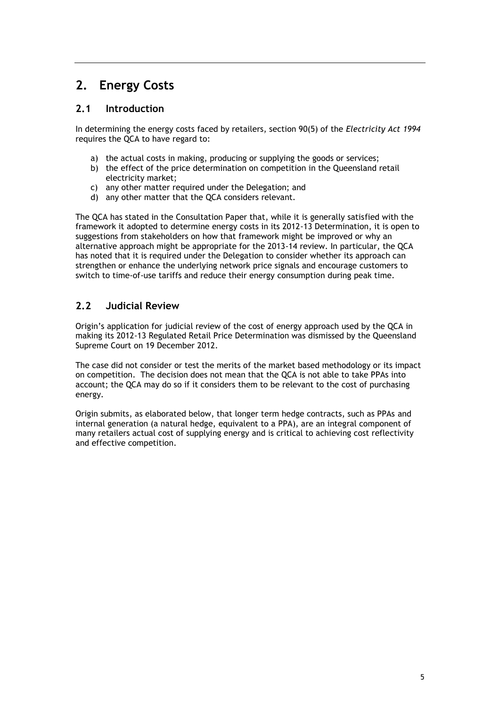## **2. Energy Costs**

## **2.1 Introduction**

In determining the energy costs faced by retailers, section 90(5) of the *Electricity Act 1994* requires the QCA to have regard to:

- a) the actual costs in making, producing or supplying the goods or services;
- b) the effect of the price determination on competition in the Queensland retail electricity market;
- c) any other matter required under the Delegation; and
- d) any other matter that the QCA considers relevant.

The QCA has stated in the Consultation Paper that, while it is generally satisfied with the framework it adopted to determine energy costs in its 2012-13 Determination, it is open to suggestions from stakeholders on how that framework might be improved or why an alternative approach might be appropriate for the 2013-14 review. In particular, the QCA has noted that it is required under the Delegation to consider whether its approach can strengthen or enhance the underlying network price signals and encourage customers to switch to time-of-use tariffs and reduce their energy consumption during peak time.

## **2.2 Judicial Review**

Origin's application for judicial review of the cost of energy approach used by the QCA in making its 2012-13 Regulated Retail Price Determination was dismissed by the Queensland Supreme Court on 19 December 2012.

The case did not consider or test the merits of the market based methodology or its impact on competition. The decision does not mean that the QCA is not able to take PPAs into account; the QCA may do so if it considers them to be relevant to the cost of purchasing energy.

Origin submits, as elaborated below, that longer term hedge contracts, such as PPAs and internal generation (a natural hedge, equivalent to a PPA), are an integral component of many retailers actual cost of supplying energy and is critical to achieving cost reflectivity and effective competition.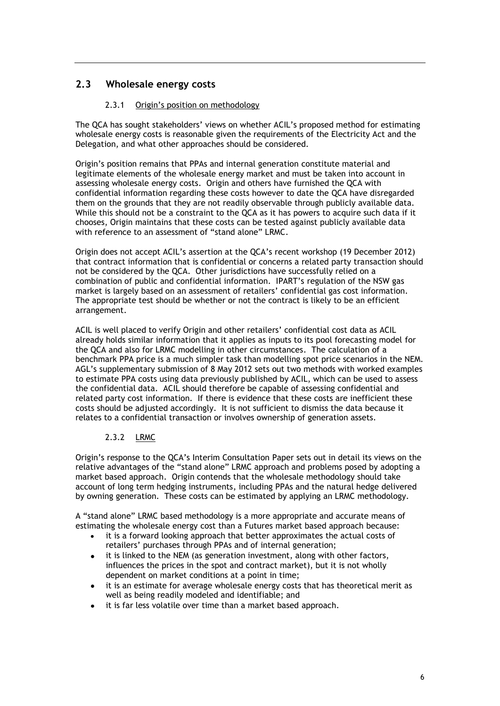## **2.3 Wholesale energy costs**

## 2.3.1 Origin's position on methodology

The QCA has sought stakeholders' views on whether ACIL's proposed method for estimating wholesale energy costs is reasonable given the requirements of the Electricity Act and the Delegation, and what other approaches should be considered.

Origin's position remains that PPAs and internal generation constitute material and legitimate elements of the wholesale energy market and must be taken into account in assessing wholesale energy costs. Origin and others have furnished the QCA with confidential information regarding these costs however to date the QCA have disregarded them on the grounds that they are not readily observable through publicly available data. While this should not be a constraint to the QCA as it has powers to acquire such data if it chooses, Origin maintains that these costs can be tested against publicly available data with reference to an assessment of "stand alone" LRMC.

Origin does not accept ACIL's assertion at the QCA's recent workshop (19 December 2012) that contract information that is confidential or concerns a related party transaction should not be considered by the QCA. Other jurisdictions have successfully relied on a combination of public and confidential information. IPART's regulation of the NSW gas market is largely based on an assessment of retailers' confidential gas cost information. The appropriate test should be whether or not the contract is likely to be an efficient arrangement.

ACIL is well placed to verify Origin and other retailers' confidential cost data as ACIL already holds similar information that it applies as inputs to its pool forecasting model for the QCA and also for LRMC modelling in other circumstances. The calculation of a benchmark PPA price is a much simpler task than modelling spot price scenarios in the NEM. AGL's supplementary submission of 8 May 2012 sets out two methods with worked examples to estimate PPA costs using data previously published by ACIL, which can be used to assess the confidential data. ACIL should therefore be capable of assessing confidential and related party cost information. If there is evidence that these costs are inefficient these costs should be adjusted accordingly. It is not sufficient to dismiss the data because it relates to a confidential transaction or involves ownership of generation assets.

### 2.3.2 LRMC

Origin's response to the QCA's Interim Consultation Paper sets out in detail its views on the relative advantages of the "stand alone" LRMC approach and problems posed by adopting a market based approach. Origin contends that the wholesale methodology should take account of long term hedging instruments, including PPAs and the natural hedge delivered by owning generation. These costs can be estimated by applying an LRMC methodology.

A "stand alone" LRMC based methodology is a more appropriate and accurate means of estimating the wholesale energy cost than a Futures market based approach because:

- it is a forward looking approach that better approximates the actual costs of retailers' purchases through PPAs and of internal generation;
- it is linked to the NEM (as generation investment, along with other factors, influences the prices in the spot and contract market), but it is not wholly dependent on market conditions at a point in time;
- it is an estimate for average wholesale energy costs that has theoretical merit as well as being readily modeled and identifiable; and
- it is far less volatile over time than a market based approach.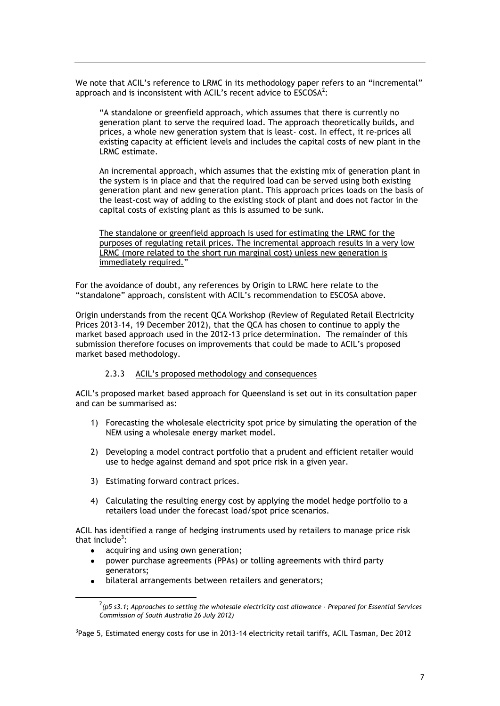We note that ACIL's reference to LRMC in its methodology paper refers to an "incremental" approach and is inconsistent with ACIL's recent advice to  $ESCOSA<sup>2</sup>$ :

"A standalone or greenfield approach, which assumes that there is currently no generation plant to serve the required load. The approach theoretically builds, and prices, a whole new generation system that is least- cost. In effect, it re-prices all existing capacity at efficient levels and includes the capital costs of new plant in the LRMC estimate.

An incremental approach, which assumes that the existing mix of generation plant in the system is in place and that the required load can be served using both existing generation plant and new generation plant. This approach prices loads on the basis of the least-cost way of adding to the existing stock of plant and does not factor in the capital costs of existing plant as this is assumed to be sunk.

The standalone or greenfield approach is used for estimating the LRMC for the purposes of regulating retail prices. The incremental approach results in a very low LRMC (more related to the short run marginal cost) unless new generation is immediately required."

For the avoidance of doubt, any references by Origin to LRMC here relate to the "standalone" approach, consistent with ACIL's recommendation to ESCOSA above.

Origin understands from the recent QCA Workshop (Review of Regulated Retail Electricity Prices 2013-14, 19 December 2012), that the QCA has chosen to continue to apply the market based approach used in the 2012-13 price determination. The remainder of this submission therefore focuses on improvements that could be made to ACIL's proposed market based methodology.

#### 2.3.3 ACIL's proposed methodology and consequences

ACIL's proposed market based approach for Queensland is set out in its consultation paper and can be summarised as:

- 1) Forecasting the wholesale electricity spot price by simulating the operation of the NEM using a wholesale energy market model.
- 2) Developing a model contract portfolio that a prudent and efficient retailer would use to hedge against demand and spot price risk in a given year.
- 3) Estimating forward contract prices.
- 4) Calculating the resulting energy cost by applying the model hedge portfolio to a retailers load under the forecast load/spot price scenarios.

ACIL has identified a range of hedging instruments used by retailers to manage price risk that include<sup>3</sup>:

acquiring and using own generation;

1

- power purchase agreements (PPAs) or tolling agreements with third party generators;
- bilateral arrangements between retailers and generators;

<sup>2</sup> *(p5 s3.1; Approaches to setting the wholesale electricity cost allowance - Prepared for Essential Services Commission of South Australia 26 July 2012)*

<sup>&</sup>lt;sup>3</sup>Page 5, Estimated energy costs for use in 2013-14 electricity retail tariffs, ACIL Tasman, Dec 2012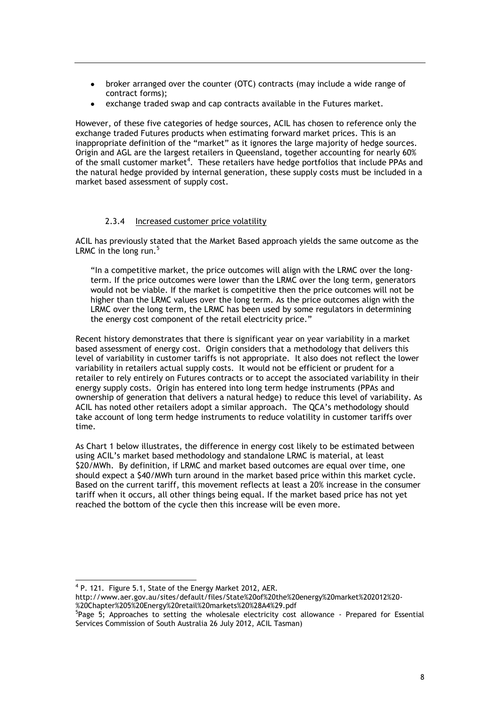- broker arranged over the counter (OTC) contracts (may include a wide range of  $\bullet$ contract forms);
- exchange traded swap and cap contracts available in the Futures market.

However, of these five categories of hedge sources, ACIL has chosen to reference only the exchange traded Futures products when estimating forward market prices. This is an inappropriate definition of the "market" as it ignores the large majority of hedge sources. Origin and AGL are the largest retailers in Queensland, together accounting for nearly 60% of the small customer market<sup>4</sup>. These retailers have hedge portfolios that include PPAs and the natural hedge provided by internal generation, these supply costs must be included in a market based assessment of supply cost.

### 2.3.4 Increased customer price volatility

ACIL has previously stated that the Market Based approach yields the same outcome as the LRMC in the long run. $<sup>5</sup>$ </sup>

"In a competitive market, the price outcomes will align with the LRMC over the longterm. If the price outcomes were lower than the LRMC over the long term, generators would not be viable. If the market is competitive then the price outcomes will not be higher than the LRMC values over the long term. As the price outcomes align with the LRMC over the long term, the LRMC has been used by some regulators in determining the energy cost component of the retail electricity price."

Recent history demonstrates that there is significant year on year variability in a market based assessment of energy cost. Origin considers that a methodology that delivers this level of variability in customer tariffs is not appropriate. It also does not reflect the lower variability in retailers actual supply costs. It would not be efficient or prudent for a retailer to rely entirely on Futures contracts or to accept the associated variability in their energy supply costs. Origin has entered into long term hedge instruments (PPAs and ownership of generation that delivers a natural hedge) to reduce this level of variability. As ACIL has noted other retailers adopt a similar approach. The QCA's methodology should take account of long term hedge instruments to reduce volatility in customer tariffs over time.

As Chart 1 below illustrates, the difference in energy cost likely to be estimated between using ACIL's market based methodology and standalone LRMC is material, at least \$20/MWh. By definition, if LRMC and market based outcomes are equal over time, one should expect a \$40/MWh turn around in the market based price within this market cycle. Based on the current tariff, this movement reflects at least a 20% increase in the consumer tariff when it occurs, all other things being equal. If the market based price has not yet reached the bottom of the cycle then this increase will be even more.

1

 $4$  P. 121. Figure 5.1, State of the Energy Market 2012, AER.

http://www.aer.gov.au/sites/default/files/State%20of%20the%20energy%20market%202012%20- %20Chapter%205%20Energy%20retail%20markets%20%28A4%29.pdf

<sup>&</sup>lt;sup>5</sup>Page 5; Approaches to setting the wholesale electricity cost allowance - Prepared for Essential Services Commission of South Australia 26 July 2012, ACIL Tasman)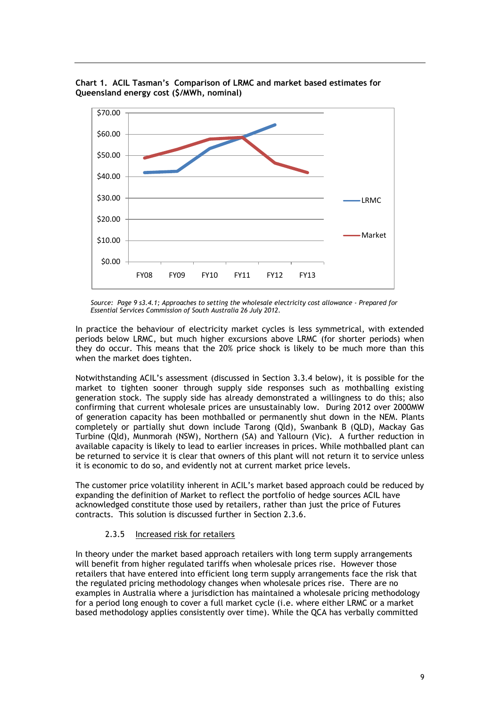

**Chart 1. ACIL Tasman's Comparison of LRMC and market based estimates for Queensland energy cost (\$/MWh, nominal)**

*Source: Page 9 s3.4.1; Approaches to setting the wholesale electricity cost allowance - Prepared for Essential Services Commission of South Australia 26 July 2012.* 

In practice the behaviour of electricity market cycles is less symmetrical, with extended periods below LRMC, but much higher excursions above LRMC (for shorter periods) when they do occur. This means that the 20% price shock is likely to be much more than this when the market does tighten.

Notwithstanding ACIL's assessment (discussed in Section 3.3.4 below), it is possible for the market to tighten sooner through supply side responses such as mothballing existing generation stock. The supply side has already demonstrated a willingness to do this; also confirming that current wholesale prices are unsustainably low. During 2012 over 2000MW of generation capacity has been mothballed or permanently shut down in the NEM. Plants completely or partially shut down include Tarong (Qld), Swanbank B (QLD), Mackay Gas Turbine (Qld), Munmorah (NSW), Northern (SA) and Yallourn (Vic). A further reduction in available capacity is likely to lead to earlier increases in prices. While mothballed plant can be returned to service it is clear that owners of this plant will not return it to service unless it is economic to do so, and evidently not at current market price levels.

The customer price volatility inherent in ACIL's market based approach could be reduced by expanding the definition of Market to reflect the portfolio of hedge sources ACIL have acknowledged constitute those used by retailers, rather than just the price of Futures contracts. This solution is discussed further in Section 2.3.6.

### 2.3.5 Increased risk for retailers

In theory under the market based approach retailers with long term supply arrangements will benefit from higher regulated tariffs when wholesale prices rise. However those retailers that have entered into efficient long term supply arrangements face the risk that the regulated pricing methodology changes when wholesale prices rise. There are no examples in Australia where a jurisdiction has maintained a wholesale pricing methodology for a period long enough to cover a full market cycle (i.e. where either LRMC or a market based methodology applies consistently over time). While the QCA has verbally committed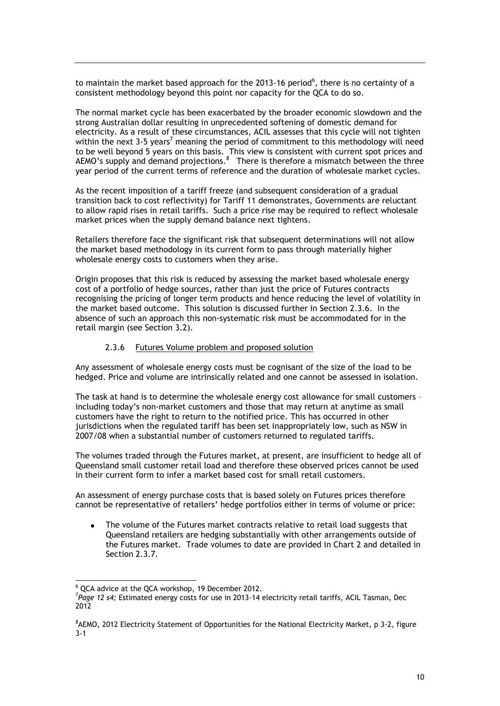to maintain the market based approach for the 2013-16 period<sup>6</sup>, there is no certainty of a consistent methodology beyond this point nor capacity for the QCA to do so.

The normal market cycle has been exacerbated by the broader economic slowdown and the strong Australian dollar resulting in unprecedented softening of domestic demand for electricity. As a result of these circumstances, ACIL assesses that this cycle will not tighten within the next  $3-5$  years<sup>7</sup> meaning the period of commitment to this methodology will need to be well beyond 5 years on this basis. This view is consistent with current spot prices and AEMO's supply and demand projections. $8$  There is therefore a mismatch between the three year period of the current terms of reference and the duration of wholesale market cycles.

As the recent imposition of a tariff freeze (and subsequent consideration of a gradual transition back to cost reflectivity) for Tariff 11 demonstrates, Governments are reluctant to allow rapid rises in retail tariffs. Such a price rise may be required to reflect wholesale market prices when the supply demand balance next tightens.

Retailers therefore face the significant risk that subsequent determinations will not allow the market based methodology in its current form to pass through materially higher wholesale energy costs to customers when they arise.

Origin proposes that this risk is reduced by assessing the market based wholesale energy cost of a portfolio of hedge sources, rather than just the price of Futures contracts recognising the pricing of longer term products and hence reducing the level of volatility in the market based outcome. This solution is discussed further in Section 2.3.6. In the absence of such an approach this non-systematic risk must be accommodated for in the retail margin (see Section 3.2).

#### 2.3.6 Futures Volume problem and proposed solution

Any assessment of wholesale energy costs must be cognisant of the size of the load to be hedged. Price and volume are intrinsically related and one cannot be assessed in isolation.

The task at hand is to determine the wholesale energy cost allowance for small customers – including today's non-market customers and those that may return at anytime as small customers have the right to return to the notified price. This has occurred in other jurisdictions when the regulated tariff has been set inappropriately low, such as NSW in 2007/08 when a substantial number of customers returned to regulated tariffs.

The volumes traded through the Futures market, at present, are insufficient to hedge all of Queensland small customer retail load and therefore these observed prices cannot be used in their current form to infer a market based cost for small retail customers.

An assessment of energy purchase costs that is based solely on Futures prices therefore cannot be representative of retailers' hedge portfolios either in terms of volume or price:

The volume of the Futures market contracts relative to retail load suggests that Queensland retailers are hedging substantially with other arrangements outside of the Futures market. Trade volumes to date are provided in Chart 2 and detailed in Section 2.3.7.

 $\overline{a}$ 

<sup>6</sup> QCA advice at the QCA workshop, 19 December 2012.

<sup>7</sup> *Page 12 s4;* Estimated energy costs for use in 2013-14 electricity retail tariffs, ACIL Tasman, Dec 2012

<sup>&</sup>lt;sup>8</sup>AEMO, 2012 Electricity Statement of Opportunities for the National Electricity Market, p 3-2, figure 3-1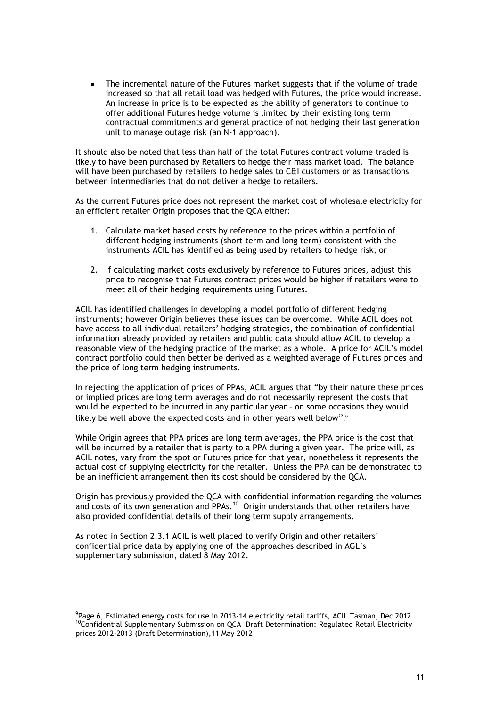The incremental nature of the Futures market suggests that if the volume of trade  $\bullet$ increased so that all retail load was hedged with Futures, the price would increase. An increase in price is to be expected as the ability of generators to continue to offer additional Futures hedge volume is limited by their existing long term contractual commitments and general practice of not hedging their last generation unit to manage outage risk (an N-1 approach).

It should also be noted that less than half of the total Futures contract volume traded is likely to have been purchased by Retailers to hedge their mass market load. The balance will have been purchased by retailers to hedge sales to C&I customers or as transactions between intermediaries that do not deliver a hedge to retailers.

As the current Futures price does not represent the market cost of wholesale electricity for an efficient retailer Origin proposes that the QCA either:

- 1. Calculate market based costs by reference to the prices within a portfolio of different hedging instruments (short term and long term) consistent with the instruments ACIL has identified as being used by retailers to hedge risk; or
- 2. If calculating market costs exclusively by reference to Futures prices, adjust this price to recognise that Futures contract prices would be higher if retailers were to meet all of their hedging requirements using Futures.

ACIL has identified challenges in developing a model portfolio of different hedging instruments; however Origin believes these issues can be overcome. While ACIL does not have access to all individual retailers' hedging strategies, the combination of confidential information already provided by retailers and public data should allow ACIL to develop a reasonable view of the hedging practice of the market as a whole. A price for ACIL's model contract portfolio could then better be derived as a weighted average of Futures prices and the price of long term hedging instruments.

In rejecting the application of prices of PPAs, ACIL argues that "by their nature these prices or implied prices are long term averages and do not necessarily represent the costs that would be expected to be incurred in any particular year – on some occasions they would likely be well above the expected costs and in other years well below".9

While Origin agrees that PPA prices are long term averages, the PPA price is the cost that will be incurred by a retailer that is party to a PPA during a given year. The price will, as ACIL notes, vary from the spot or Futures price for that year, nonetheless it represents the actual cost of supplying electricity for the retailer. Unless the PPA can be demonstrated to be an inefficient arrangement then its cost should be considered by the QCA.

Origin has previously provided the QCA with confidential information regarding the volumes and costs of its own generation and PPAs.<sup>10</sup> Origin understands that other retailers have also provided confidential details of their long term supply arrangements.

As noted in Section 2.3.1 ACIL is well placed to verify Origin and other retailers' confidential price data by applying one of the approaches described in AGL's supplementary submission, dated 8 May 2012.

1

<sup>&</sup>lt;sup>9</sup>Page 6, Estimated energy costs for use in 2013-14 electricity retail tariffs, ACIL Tasman, Dec 2012 <sup>10</sup>Confidential Supplementary Submission on QCA Draft Determination: Regulated Retail Electricity prices 2012-2013 (Draft Determination),11 May 2012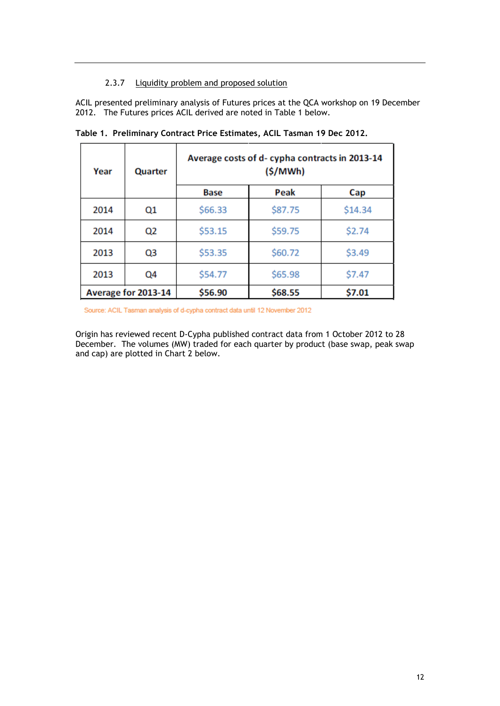## 2.3.7 Liquidity problem and proposed solution

ACIL presented preliminary analysis of Futures prices at the QCA workshop on 19 December 2012. The Futures prices ACIL derived are noted in Table 1 below.

| Year | Quarter             | Average costs of d-cypha contracts in 2013-14<br>(S/MWh) |         |         |
|------|---------------------|----------------------------------------------------------|---------|---------|
|      |                     | <b>Base</b>                                              | Peak    | Cap     |
| 2014 | Q1                  | \$66.33                                                  | \$87.75 | \$14.34 |
| 2014 | Q2                  | \$53.15                                                  | \$59.75 | \$2.74  |
| 2013 | Q3                  | \$53.35                                                  | \$60.72 | \$3.49  |
| 2013 | Q4                  | \$54.77                                                  | \$65.98 | \$7.47  |
|      | Average for 2013-14 | \$56.90                                                  | \$68.55 | \$7.01  |

**Table 1. Preliminary Contract Price Estimates, ACIL Tasman 19 Dec 2012.** 

Source: ACIL Tasman analysis of d-cypha contract data until 12 November 2012

Origin has reviewed recent D-Cypha published contract data from 1 October 2012 to 28 December. The volumes (MW) traded for each quarter by product (base swap, peak swap and cap) are plotted in Chart 2 below.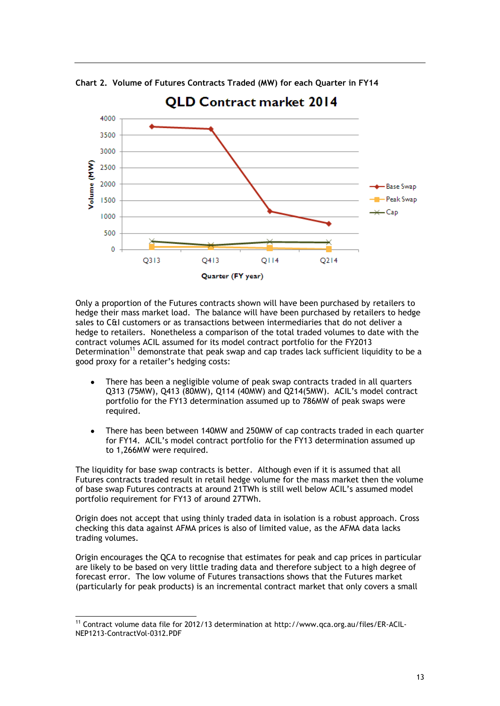

**Chart 2. Volume of Futures Contracts Traded (MW) for each Quarter in FY14**

Only a proportion of the Futures contracts shown will have been purchased by retailers to hedge their mass market load. The balance will have been purchased by retailers to hedge sales to C&I customers or as transactions between intermediaries that do not deliver a hedge to retailers. Nonetheless a comparison of the total traded volumes to date with the contract volumes ACIL assumed for its model contract portfolio for the FY2013 Determination<sup>11</sup> demonstrate that peak swap and cap trades lack sufficient liquidity to be a good proxy for a retailer's hedging costs:

- There has been a negligible volume of peak swap contracts traded in all quarters Q313 (75MW), Q413 (80MW), Q114 (40MW) and Q214(5MW). ACIL's model contract portfolio for the FY13 determination assumed up to 786MW of peak swaps were required.
- There has been between 140MW and 250MW of cap contracts traded in each quarter for FY14. ACIL's model contract portfolio for the FY13 determination assumed up to 1,266MW were required.

The liquidity for base swap contracts is better. Although even if it is assumed that all Futures contracts traded result in retail hedge volume for the mass market then the volume of base swap Futures contracts at around 21TWh is still well below ACIL's assumed model portfolio requirement for FY13 of around 27TWh.

Origin does not accept that using thinly traded data in isolation is a robust approach. Cross checking this data against AFMA prices is also of limited value, as the AFMA data lacks trading volumes.

Origin encourages the QCA to recognise that estimates for peak and cap prices in particular are likely to be based on very little trading data and therefore subject to a high degree of forecast error. The low volume of Futures transactions shows that the Futures market (particularly for peak products) is an incremental contract market that only covers a small

<sup>-</sup><sup>11</sup> Contract volume data file for 2012/13 determination at http://www.qca.org.au/files/ER-ACIL-NEP1213-ContractVol-0312.PDF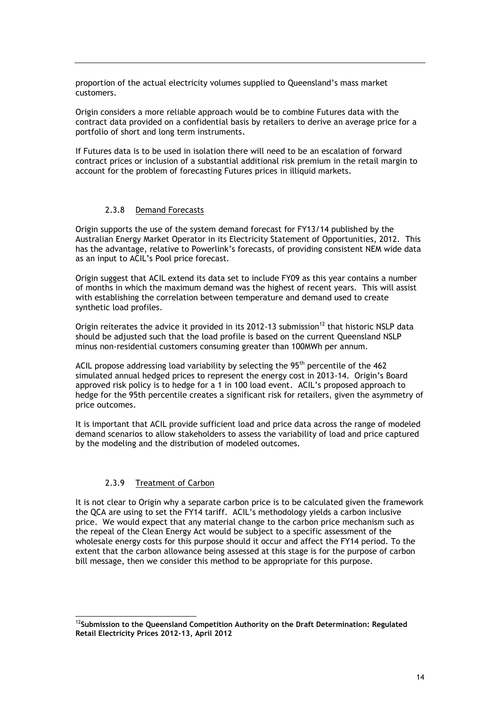proportion of the actual electricity volumes supplied to Queensland's mass market customers.

Origin considers a more reliable approach would be to combine Futures data with the contract data provided on a confidential basis by retailers to derive an average price for a portfolio of short and long term instruments.

If Futures data is to be used in isolation there will need to be an escalation of forward contract prices or inclusion of a substantial additional risk premium in the retail margin to account for the problem of forecasting Futures prices in illiquid markets.

#### 2.3.8 Demand Forecasts

Origin supports the use of the system demand forecast for FY13/14 published by the Australian Energy Market Operator in its Electricity Statement of Opportunities, 2012. This has the advantage, relative to Powerlink's forecasts, of providing consistent NEM wide data as an input to ACIL's Pool price forecast.

Origin suggest that ACIL extend its data set to include FY09 as this year contains a number of months in which the maximum demand was the highest of recent years. This will assist with establishing the correlation between temperature and demand used to create synthetic load profiles.

Origin reiterates the advice it provided in its 2012-13 submission<sup>12</sup> that historic NSLP data should be adjusted such that the load profile is based on the current Queensland NSLP minus non-residential customers consuming greater than 100MWh per annum.

ACIL propose addressing load variability by selecting the  $95<sup>th</sup>$  percentile of the 462 simulated annual hedged prices to represent the energy cost in 2013-14. Origin's Board approved risk policy is to hedge for a 1 in 100 load event. ACIL's proposed approach to hedge for the 95th percentile creates a significant risk for retailers, given the asymmetry of price outcomes.

It is important that ACIL provide sufficient load and price data across the range of modeled demand scenarios to allow stakeholders to assess the variability of load and price captured by the modeling and the distribution of modeled outcomes.

### 2.3.9 Treatment of Carbon

-

It is not clear to Origin why a separate carbon price is to be calculated given the framework the QCA are using to set the FY14 tariff. ACIL's methodology yields a carbon inclusive price. We would expect that any material change to the carbon price mechanism such as the repeal of the Clean Energy Act would be subject to a specific assessment of the wholesale energy costs for this purpose should it occur and affect the FY14 period. To the extent that the carbon allowance being assessed at this stage is for the purpose of carbon bill message, then we consider this method to be appropriate for this purpose.

<sup>12</sup>**Submission to the Queensland Competition Authority on the Draft Determination: Regulated Retail Electricity Prices 2012-13, April 2012**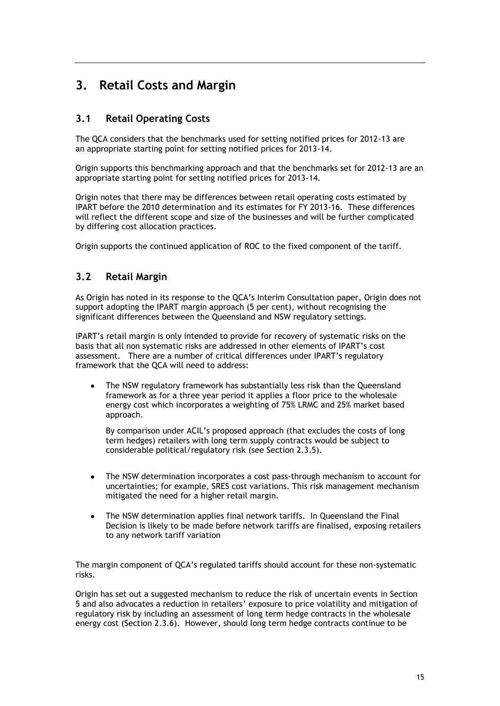## **3. Retail Costs and Margin**

## **3.1 Retail Operating Costs**

The QCA considers that the benchmarks used for setting notified prices for 2012-13 are an appropriate starting point for setting notified prices for 2013-14.

Origin supports this benchmarking approach and that the benchmarks set for 2012-13 are an appropriate starting point for setting notified prices for 2013-14.

Origin notes that there may be differences between retail operating costs estimated by IPART before the 2010 determination and its estimates for FY 2013-16. These differences will reflect the different scope and size of the businesses and will be further complicated by differing cost allocation practices.

Origin supports the continued application of ROC to the fixed component of the tariff.

## **3.2 Retail Margin**

As Origin has noted in its response to the QCA's Interim Consultation paper, Origin does not support adopting the IPART margin approach (5 per cent), without recognising the significant differences between the Queensland and NSW regulatory settings.

IPART's retail margin is only intended to provide for recovery of systematic risks on the basis that all non systematic risks are addressed in other elements of IPART's cost assessment. There are a number of critical differences under IPART's regulatory framework that the QCA will need to address:

The NSW regulatory framework has substantially less risk than the Queensland framework as for a three year period it applies a floor price to the wholesale energy cost which incorporates a weighting of 75% LRMC and 25% market based approach.

By comparison under ACIL's proposed approach (that excludes the costs of long term hedges) retailers with long term supply contracts would be subject to considerable political/regulatory risk (see Section 2.3.5).

- The NSW determination incorporates a cost pass-through mechanism to account for  $\bullet$ uncertainties; for example, SRES cost variations. This risk management mechanism mitigated the need for a higher retail margin.
- The NSW determination applies final network tariffs. In Queensland the Final Decision is likely to be made before network tariffs are finalised, exposing retailers to any network tariff variation

The margin component of QCA's regulated tariffs should account for these non-systematic risks.

Origin has set out a suggested mechanism to reduce the risk of uncertain events in Section 5 and also advocates a reduction in retailers' exposure to price volatility and mitigation of regulatory risk by including an assessment of long term hedge contracts in the wholesale energy cost (Section 2.3.6). However, should long term hedge contracts continue to be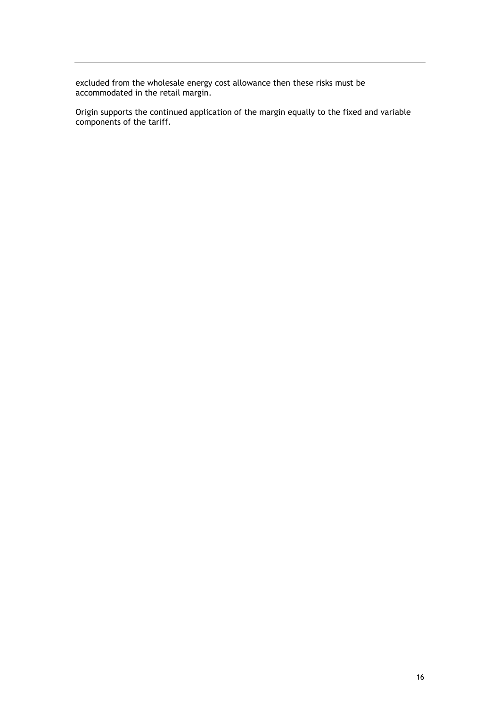excluded from the wholesale energy cost allowance then these risks must be accommodated in the retail margin.

Origin supports the continued application of the margin equally to the fixed and variable components of the tariff.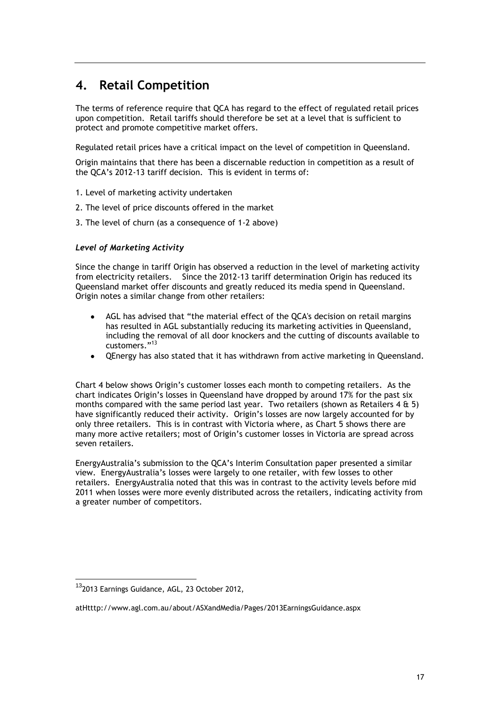## **4. Retail Competition**

The terms of reference require that QCA has regard to the effect of regulated retail prices upon competition. Retail tariffs should therefore be set at a level that is sufficient to protect and promote competitive market offers.

Regulated retail prices have a critical impact on the level of competition in Queensland.

Origin maintains that there has been a discernable reduction in competition as a result of the QCA's 2012-13 tariff decision. This is evident in terms of:

- 1. Level of marketing activity undertaken
- 2. The level of price discounts offered in the market
- 3. The level of churn (as a consequence of 1-2 above)

### *Level of Marketing Activity*

Since the change in tariff Origin has observed a reduction in the level of marketing activity from electricity retailers. Since the 2012-13 tariff determination Origin has reduced its Queensland market offer discounts and greatly reduced its media spend in Queensland. Origin notes a similar change from other retailers:

- AGL has advised that "the material effect of the QCA's decision on retail margins has resulted in AGL substantially reducing its marketing activities in Queensland, including the removal of all door knockers and the cutting of discounts available to customers." 13
- QEnergy has also stated that it has withdrawn from active marketing in Queensland.

Chart 4 below shows Origin's customer losses each month to competing retailers. As the chart indicates Origin's losses in Queensland have dropped by around 17% for the past six months compared with the same period last year. Two retailers (shown as Retailers 4 & 5) have significantly reduced their activity. Origin's losses are now largely accounted for by only three retailers. This is in contrast with Victoria where, as Chart 5 shows there are many more active retailers; most of Origin's customer losses in Victoria are spread across seven retailers.

EnergyAustralia's submission to the QCA's Interim Consultation paper presented a similar view. EnergyAustralia's losses were largely to one retailer, with few losses to other retailers. EnergyAustralia noted that this was in contrast to the activity levels before mid 2011 when losses were more evenly distributed across the retailers, indicating activity from a greater number of competitors.

-

<sup>13</sup>2013 Earnings Guidance, AGL, 23 October 2012,

atHtttp://www.agl.com.au/about/ASXandMedia/Pages/2013EarningsGuidance.aspx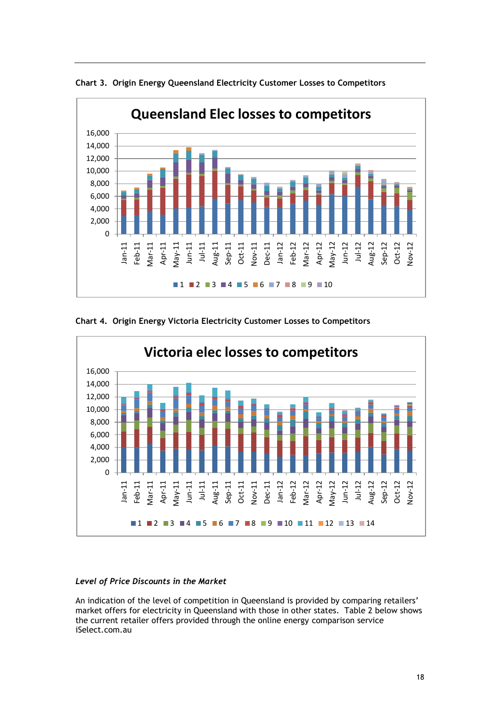

**Chart 3. Origin Energy Queensland Electricity Customer Losses to Competitors**





### *Level of Price Discounts in the Market*

An indication of the level of competition in Queensland is provided by comparing retailers' market offers for electricity in Queensland with those in other states. Table 2 below shows the current retailer offers provided through the online energy comparison service iSelect.com.au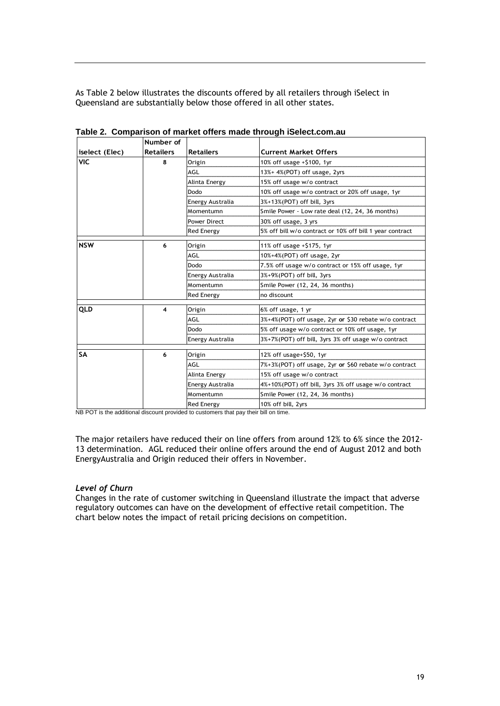As Table 2 below illustrates the discounts offered by all retailers through iSelect in Queensland are substantially below those offered in all other states.

|                | Number of        |                     |                                                          |  |
|----------------|------------------|---------------------|----------------------------------------------------------|--|
| iselect (Elec) | <b>Retailers</b> | <b>Retailers</b>    | <b>Current Market Offers</b>                             |  |
| <b>VIC</b>     | 8                | Origin              | 10% off usage +\$100, 1yr                                |  |
|                |                  | AGL                 | 13%+ 4%(POT) off usage, 2yrs                             |  |
|                |                  | Alinta Energy       | 15% off usage w/o contract                               |  |
|                |                  | Dodo                | 10% off usage w/o contract or 20% off usage, 1yr         |  |
|                |                  | Energy Australia    | $3%+13%$ (POT) off bill, $3yrs$                          |  |
|                |                  | Momentumn           | Smile Power - Low rate deal (12, 24, 36 months)          |  |
|                |                  | <b>Power Direct</b> | 30% off usage, 3 yrs                                     |  |
|                |                  | <b>Red Energy</b>   | 5% off bill w/o contract or 10% off bill 1 year contract |  |
| <b>NSW</b>     | 6                | Origin              | 11% off usage +\$175, 1yr                                |  |
|                |                  | AGL                 | 10%+4%(POT) off usage, 2yr                               |  |
|                |                  | Dodo                | 7.5% off usage w/o contract or 15% off usage, 1yr        |  |
|                |                  | Energy Australia    | 3%+9%(POT) off bill, 3yrs                                |  |
|                |                  | Momentumn           | Smile Power (12, 24, 36 months)                          |  |
|                |                  | <b>Red Energy</b>   | no discount                                              |  |
| QLD            | 4                | Origin              | 6% off usage, 1 yr                                       |  |
|                |                  | AGL                 | 3%+4%(POT) off usage, 2yr or \$30 rebate w/o contract    |  |
|                |                  | Dodo                | 5% off usage w/o contract or 10% off usage, 1yr          |  |
|                |                  | Energy Australia    | 3%+7%(POT) off bill, 3yrs 3% off usage w/o contract      |  |
| <b>SA</b>      | 6                |                     |                                                          |  |
|                |                  | Origin<br>AGI       | 12% off usage+\$50, 1yr                                  |  |
|                |                  |                     | 7%+3%(POT) off usage, 2yr or \$60 rebate w/o contract    |  |
|                |                  | Alinta Energy       | 15% off usage w/o contract                               |  |
|                |                  | Energy Australia    | 4%+10%(POT) off bill, 3yrs 3% off usage w/o contract     |  |
|                |                  | Momentumn           | Smile Power (12, 24, 36 months)                          |  |
|                |                  | <b>Red Energy</b>   | 10% off bill, 2yrs                                       |  |

**Table 2. Comparison of market offers made through iSelect.com.au**

NB POT is the additional discount provided to customers that pay their bill on time.

The major retailers have reduced their on line offers from around 12% to 6% since the 2012- 13 determination. AGL reduced their online offers around the end of August 2012 and both EnergyAustralia and Origin reduced their offers in November.

#### *Level of Churn*

Changes in the rate of customer switching in Queensland illustrate the impact that adverse regulatory outcomes can have on the development of effective retail competition. The chart below notes the impact of retail pricing decisions on competition.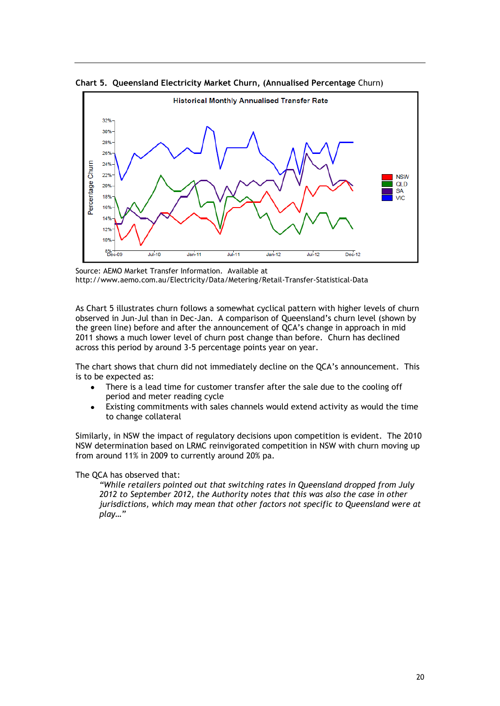



Source: AEMO Market Transfer Information. Available at http://www.aemo.com.au/Electricity/Data/Metering/Retail-Transfer-Statistical-Data

As Chart 5 illustrates churn follows a somewhat cyclical pattern with higher levels of churn observed in Jun-Jul than in Dec-Jan. A comparison of Queensland's churn level (shown by the green line) before and after the announcement of QCA's change in approach in mid 2011 shows a much lower level of churn post change than before. Churn has declined across this period by around 3-5 percentage points year on year.

The chart shows that churn did not immediately decline on the QCA's announcement. This is to be expected as:

- There is a lead time for customer transfer after the sale due to the cooling off  $\bullet$ period and meter reading cycle
- Existing commitments with sales channels would extend activity as would the time to change collateral

Similarly, in NSW the impact of regulatory decisions upon competition is evident. The 2010 NSW determination based on LRMC reinvigorated competition in NSW with churn moving up from around 11% in 2009 to currently around 20% pa.

The QCA has observed that:

*"While retailers pointed out that switching rates in Queensland dropped from July 2012 to September 2012, the Authority notes that this was also the case in other jurisdictions, which may mean that other factors not specific to Queensland were at play…"*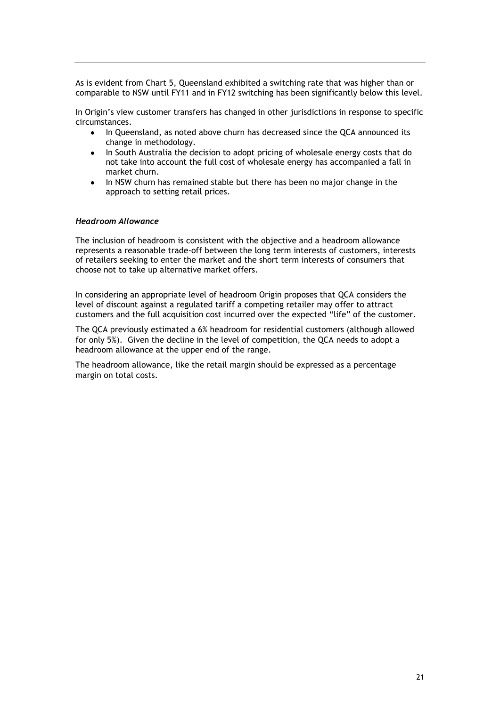As is evident from Chart 5, Queensland exhibited a switching rate that was higher than or comparable to NSW until FY11 and in FY12 switching has been significantly below this level.

In Origin's view customer transfers has changed in other jurisdictions in response to specific circumstances.

- $\bullet$ In Queensland, as noted above churn has decreased since the QCA announced its change in methodology.
- In South Australia the decision to adopt pricing of wholesale energy costs that do not take into account the full cost of wholesale energy has accompanied a fall in market churn.
- In NSW churn has remained stable but there has been no major change in the approach to setting retail prices.

#### *Headroom Allowance*

The inclusion of headroom is consistent with the objective and a headroom allowance represents a reasonable trade-off between the long term interests of customers, interests of retailers seeking to enter the market and the short term interests of consumers that choose not to take up alternative market offers.

In considering an appropriate level of headroom Origin proposes that QCA considers the level of discount against a regulated tariff a competing retailer may offer to attract customers and the full acquisition cost incurred over the expected "life" of the customer.

The QCA previously estimated a 6% headroom for residential customers (although allowed for only 5%). Given the decline in the level of competition, the QCA needs to adopt a headroom allowance at the upper end of the range.

The headroom allowance, like the retail margin should be expressed as a percentage margin on total costs.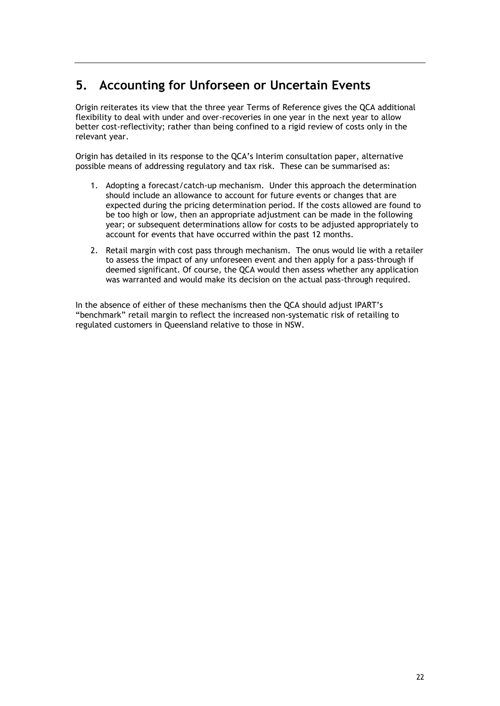## **5. Accounting for Unforseen or Uncertain Events**

Origin reiterates its view that the three year Terms of Reference gives the QCA additional flexibility to deal with under and over-recoveries in one year in the next year to allow better cost-reflectivity; rather than being confined to a rigid review of costs only in the relevant year.

Origin has detailed in its response to the QCA's Interim consultation paper, alternative possible means of addressing regulatory and tax risk. These can be summarised as:

- 1. Adopting a forecast/catch-up mechanism. Under this approach the determination should include an allowance to account for future events or changes that are expected during the pricing determination period. If the costs allowed are found to be too high or low, then an appropriate adjustment can be made in the following year; or subsequent determinations allow for costs to be adjusted appropriately to account for events that have occurred within the past 12 months.
- 2. Retail margin with cost pass through mechanism. The onus would lie with a retailer to assess the impact of any unforeseen event and then apply for a pass-through if deemed significant. Of course, the QCA would then assess whether any application was warranted and would make its decision on the actual pass-through required.

In the absence of either of these mechanisms then the QCA should adjust IPART's "benchmark" retail margin to reflect the increased non-systematic risk of retailing to regulated customers in Queensland relative to those in NSW.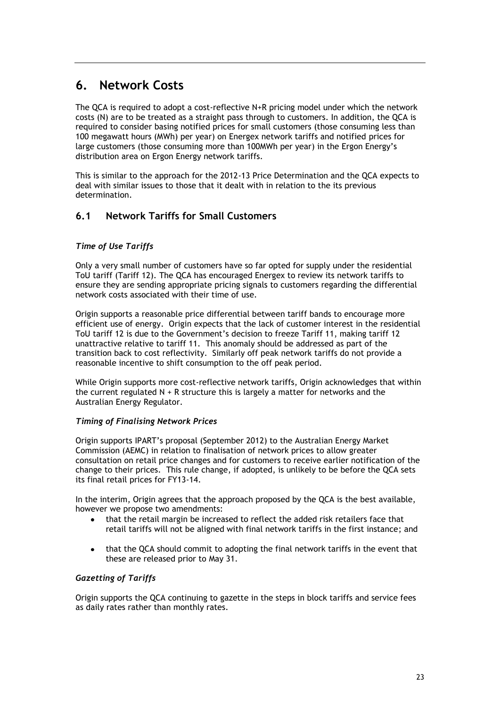## **6. Network Costs**

The QCA is required to adopt a cost-reflective N+R pricing model under which the network costs (N) are to be treated as a straight pass through to customers. In addition, the QCA is required to consider basing notified prices for small customers (those consuming less than 100 megawatt hours (MWh) per year) on Energex network tariffs and notified prices for large customers (those consuming more than 100MWh per year) in the Ergon Energy's distribution area on Ergon Energy network tariffs.

This is similar to the approach for the 2012-13 Price Determination and the QCA expects to deal with similar issues to those that it dealt with in relation to the its previous determination.

## **6.1 Network Tariffs for Small Customers**

## *Time of Use Tariffs*

Only a very small number of customers have so far opted for supply under the residential ToU tariff (Tariff 12). The QCA has encouraged Energex to review its network tariffs to ensure they are sending appropriate pricing signals to customers regarding the differential network costs associated with their time of use.

Origin supports a reasonable price differential between tariff bands to encourage more efficient use of energy. Origin expects that the lack of customer interest in the residential ToU tariff 12 is due to the Government's decision to freeze Tariff 11, making tariff 12 unattractive relative to tariff 11. This anomaly should be addressed as part of the transition back to cost reflectivity. Similarly off peak network tariffs do not provide a reasonable incentive to shift consumption to the off peak period.

While Origin supports more cost-reflective network tariffs, Origin acknowledges that within the current regulated N + R structure this is largely a matter for networks and the Australian Energy Regulator.

### *Timing of Finalising Network Prices*

Origin supports IPART's proposal (September 2012) to the Australian Energy Market Commission (AEMC) in relation to finalisation of network prices to allow greater consultation on retail price changes and for customers to receive earlier notification of the change to their prices. This rule change, if adopted, is unlikely to be before the QCA sets its final retail prices for FY13-14.

In the interim, Origin agrees that the approach proposed by the QCA is the best available, however we propose two amendments:

- that the retail margin be increased to reflect the added risk retailers face that retail tariffs will not be aligned with final network tariffs in the first instance; and
- that the QCA should commit to adopting the final network tariffs in the event that these are released prior to May 31.

### *Gazetting of Tariffs*

Origin supports the QCA continuing to gazette in the steps in block tariffs and service fees as daily rates rather than monthly rates.